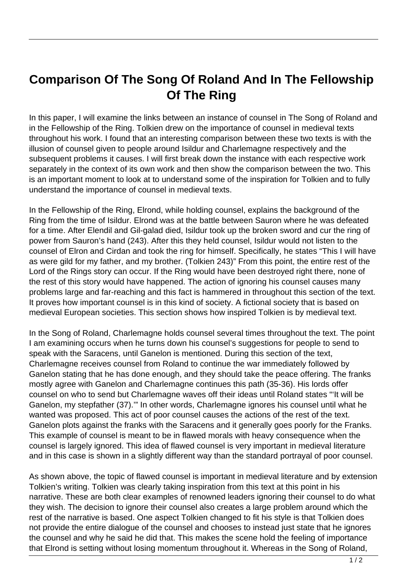## **Comparison Of The Song Of Roland And In The Fellowship Of The Ring**

In this paper, I will examine the links between an instance of counsel in The Song of Roland and in the Fellowship of the Ring. Tolkien drew on the importance of counsel in medieval texts throughout his work. I found that an interesting comparison between these two texts is with the illusion of counsel given to people around Isildur and Charlemagne respectively and the subsequent problems it causes. I will first break down the instance with each respective work separately in the context of its own work and then show the comparison between the two. This is an important moment to look at to understand some of the inspiration for Tolkien and to fully understand the importance of counsel in medieval texts.

In the Fellowship of the Ring, Elrond, while holding counsel, explains the background of the Ring from the time of Isildur. Elrond was at the battle between Sauron where he was defeated for a time. After Elendil and Gil-galad died, Isildur took up the broken sword and cur the ring of power from Sauron's hand (243). After this they held counsel, Isildur would not listen to the counsel of Elron and Cirdan and took the ring for himself. Specifically, he states "This I will have as were gild for my father, and my brother. (Tolkien 243)" From this point, the entire rest of the Lord of the Rings story can occur. If the Ring would have been destroyed right there, none of the rest of this story would have happened. The action of ignoring his counsel causes many problems large and far-reaching and this fact is hammered in throughout this section of the text. It proves how important counsel is in this kind of society. A fictional society that is based on medieval European societies. This section shows how inspired Tolkien is by medieval text.

In the Song of Roland, Charlemagne holds counsel several times throughout the text. The point I am examining occurs when he turns down his counsel's suggestions for people to send to speak with the Saracens, until Ganelon is mentioned. During this section of the text, Charlemagne receives counsel from Roland to continue the war immediately followed by Ganelon stating that he has done enough, and they should take the peace offering. The franks mostly agree with Ganelon and Charlemagne continues this path (35-36). His lords offer counsel on who to send but Charlemagne waves off their ideas until Roland states "'It will be Ganelon, my stepfather (37).'" In other words, Charlemagne ignores his counsel until what he wanted was proposed. This act of poor counsel causes the actions of the rest of the text. Ganelon plots against the franks with the Saracens and it generally goes poorly for the Franks. This example of counsel is meant to be in flawed morals with heavy consequence when the counsel is largely ignored. This idea of flawed counsel is very important in medieval literature and in this case is shown in a slightly different way than the standard portrayal of poor counsel.

As shown above, the topic of flawed counsel is important in medieval literature and by extension Tolkien's writing. Tolkien was clearly taking inspiration from this text at this point in his narrative. These are both clear examples of renowned leaders ignoring their counsel to do what they wish. The decision to ignore their counsel also creates a large problem around which the rest of the narrative is based. One aspect Tolkien changed to fit his style is that Tolkien does not provide the entire dialogue of the counsel and chooses to instead just state that he ignores the counsel and why he said he did that. This makes the scene hold the feeling of importance that Elrond is setting without losing momentum throughout it. Whereas in the Song of Roland,